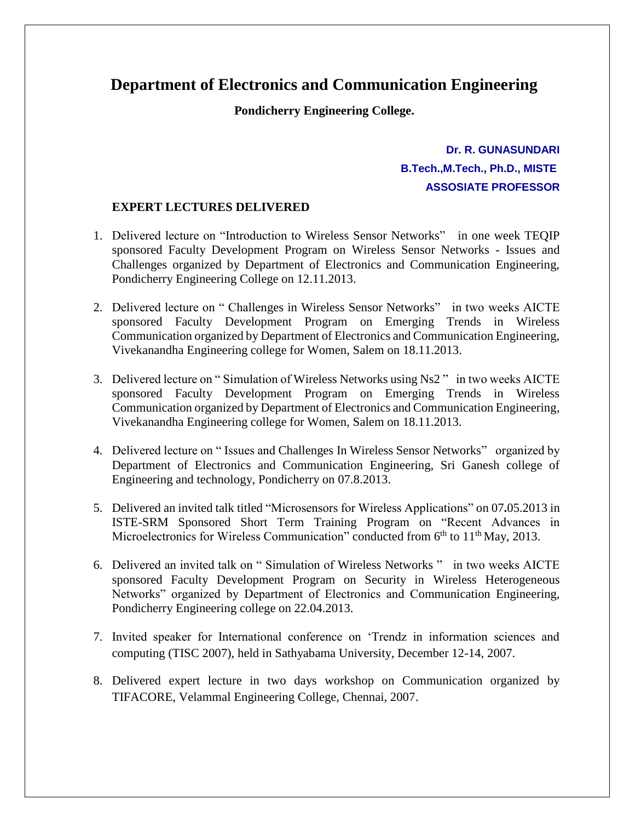## **Department of Electronics and Communication Engineering**

**Pondicherry Engineering College.**

## **Dr. R. GUNASUNDARI B.Tech.,M.Tech., Ph.D., MISTE ASSOSIATE PROFESSOR**

## **EXPERT LECTURES DELIVERED**

- 1. Delivered lecture on "Introduction to Wireless Sensor Networks" in one week TEQIP sponsored Faculty Development Program on Wireless Sensor Networks - Issues and Challenges organized by Department of Electronics and Communication Engineering, Pondicherry Engineering College on 12.11.2013.
- 2. Delivered lecture on " Challenges in Wireless Sensor Networks" in two weeks AICTE sponsored Faculty Development Program on Emerging Trends in Wireless Communication organized by Department of Electronics and Communication Engineering, Vivekanandha Engineering college for Women, Salem on 18.11.2013.
- 3. Delivered lecture on " Simulation of Wireless Networks using Ns2 " in two weeks AICTE sponsored Faculty Development Program on Emerging Trends in Wireless Communication organized by Department of Electronics and Communication Engineering, Vivekanandha Engineering college for Women, Salem on 18.11.2013.
- 4. Delivered lecture on " Issues and Challenges In Wireless Sensor Networks" organized by Department of Electronics and Communication Engineering, Sri Ganesh college of Engineering and technology, Pondicherry on 07.8.2013.
- 5. Delivered an invited talk titled "Microsensors for Wireless Applications" on 07**.**05.2013 in ISTE-SRM Sponsored Short Term Training Program on "Recent Advances in Microelectronics for Wireless Communication" conducted from  $6<sup>th</sup>$  to  $11<sup>th</sup>$  May, 2013.
- 6. Delivered an invited talk on " Simulation of Wireless Networks " in two weeks AICTE sponsored Faculty Development Program on Security in Wireless Heterogeneous Networks" organized by Department of Electronics and Communication Engineering, Pondicherry Engineering college on 22.04.2013.
- 7. Invited speaker for International conference on 'Trendz in information sciences and computing (TISC 2007), held in Sathyabama University, December 12-14, 2007.
- 8. Delivered expert lecture in two days workshop on Communication organized by TIFACORE, Velammal Engineering College, Chennai, 2007.